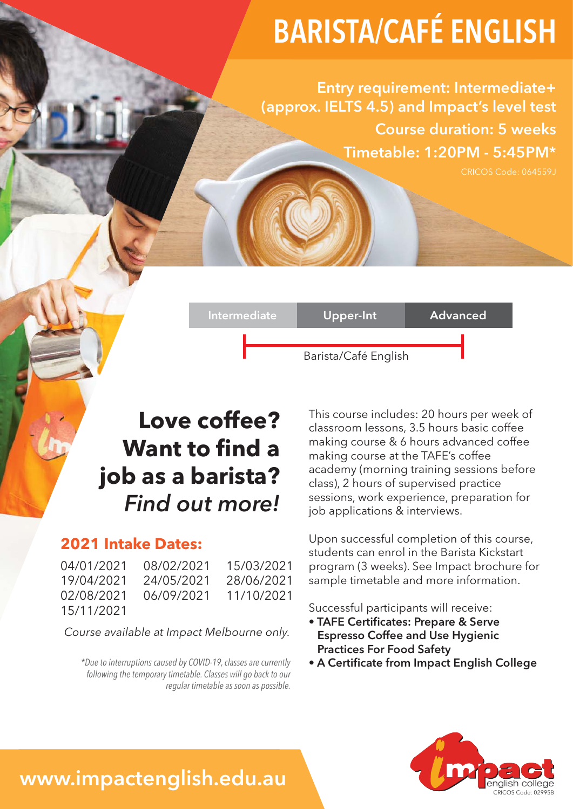# BARISTA/CAFÉ ENGLISH

Entry requirement: Intermediate+ (approx. IELTS 4.5) and Impact's level test Course duration: 5 weeks Timetable: 1:20PM - 5:45PM\*

## Barista/Café English Intermediate Upper-Int Advanced

## **Love coffee? Want to find a job as a barista?** *Find out more!*

#### **2021 Intake Dates:**

04/01/2021 08/02/2021 15/03/2021 19/04/2021 24/05/2021 28/06/2021 02/08/2021 06/09/2021 11/10/2021 15/11/2021

*Course available at Impact Melbourne only.*

*\*Due to interruptions caused by COVID-19, classes are currently following the temporary timetable. Classes will go back to our regular timetable as soon as possible.*

This course includes: 20 hours per week of classroom lessons, 3.5 hours basic coffee making course & 6 hours advanced coffee making course at the TAFE's coffee academy (morning training sessions before class), 2 hours of supervised practice sessions, work experience, preparation for job applications & interviews.

Upon successful completion of this course, students can enrol in the Barista Kickstart program (3 weeks). See Impact brochure for sample timetable and more information.

Successful participants will receive:

- TAFE Certificates: Prepare & Serve Espresso Coffee and Use Hygienic Practices For Food Safety
- A Certificate from Impact English College



## www.impactenglish.edu.au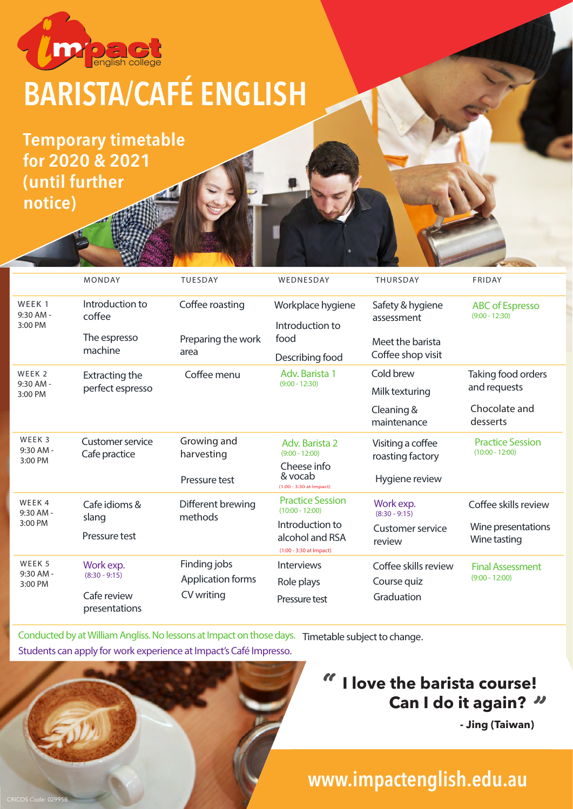

# BARISTA/CAFÉ ENGLISH

Temporary timetable for 2020 & 2021 (until further notice)

CRICOS Code: 02995B

|                                           | <b>MONDAY</b>                             | <b>TUESDAY</b>               | WEDNESDAY                                                     | <b>THURSDAY</b>                       | <b>FRIDAY</b>                                |
|-------------------------------------------|-------------------------------------------|------------------------------|---------------------------------------------------------------|---------------------------------------|----------------------------------------------|
| WEEK <sub>1</sub><br>9:30 AM -<br>3:00 PM | Introduction to<br>coffee                 | Coffee roasting              | Workplace hygiene<br>Introduction to<br>food                  | Safety & hygiene<br>assessment        | <b>ABC</b> of Espresso<br>$(9:00 - 12:30)$   |
|                                           | The espresso<br>machine                   | Preparing the work<br>area   |                                                               | Meet the barista<br>Coffee shop visit |                                              |
|                                           |                                           |                              | Describing food                                               |                                       |                                              |
| WEEK <sub>2</sub><br>9:30 AM -<br>3:00 PM | <b>Extracting the</b><br>perfect espresso | Coffee menu                  | Adv. Barista 1<br>$(9:00 - 12:30)$                            | Cold brew                             | Taking food orders<br>and requests           |
|                                           |                                           |                              |                                                               | Milk texturing                        |                                              |
|                                           |                                           |                              |                                                               | Cleaning &<br>maintenance             | Chocolate and<br>desserts                    |
| WEEK 3<br>$9:30$ AM -<br>3:00 PM          | <b>Customer service</b><br>Cafe practice  | Growing and<br>harvesting    | Adv. Barista 2<br>$(9:00 - 12:00)$                            | Visiting a coffee<br>roasting factory | <b>Practice Session</b><br>$(10:00 - 12:00)$ |
|                                           |                                           | Pressure test                | Cheese info<br>& vocab<br>(1:00 - 3:30 at Impact)             | Hygiene review                        |                                              |
| WEEK 4<br>$9:30$ AM -<br>3:00 PM          | Cafe idioms &<br>slang                    | Different brewing<br>methods | <b>Practice Session</b><br>$(10:00 - 12:00)$                  | Work exp.<br>$(8:30 - 9:15)$          | Coffee skills review                         |
|                                           | Pressure test                             |                              | Introduction to<br>alcohol and RSA<br>(1:00 - 3:30 at Impact) | Customer service<br>review            | Wine presentations<br>Wine tasting           |
| WEEK 5<br>9:30 AM -<br>3:00 PM            | Work exp.<br>$(8:30 - 9:15)$              | Finding jobs                 | Interviews                                                    | Coffee skills review                  | <b>Final Assessment</b><br>$(9:00 - 12:00)$  |
|                                           |                                           | Application forms            | Role plays                                                    | Course quiz                           |                                              |
|                                           | Cafe review<br>presentations              | CV writing                   | Pressure test                                                 | Graduation                            |                                              |

Conducted by at William Angliss. No lessons at Impact on those days. Timetable subject to change. Students can apply for work experience at Impact's Café Impresso.

#### **I love the barista course! 14 Can I do it again?**<br>Jing (Taiwan) "

 **- Jing (Taiwan)**

### www.impactenglish.edu.au